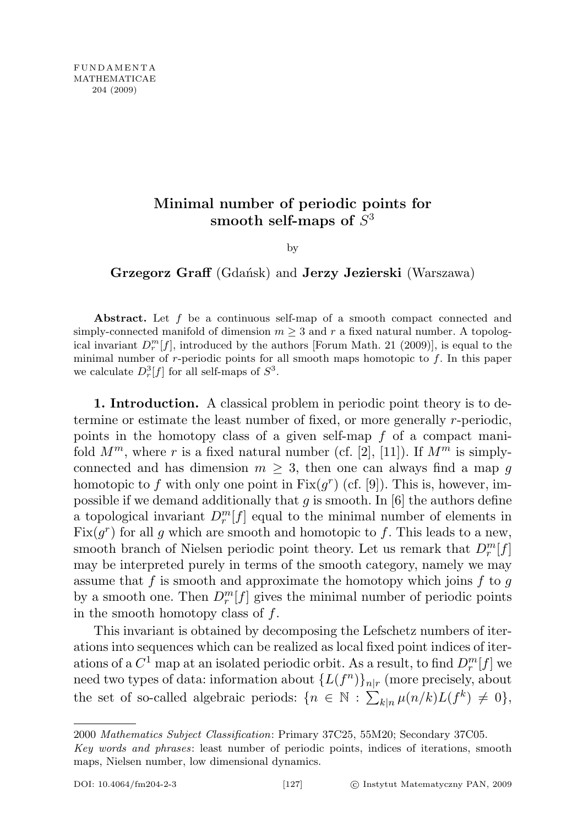## Minimal number of periodic points for smooth self-maps of  $S^3$

by

Grzegorz Graff (Gdańsk) and Jerzy Jezierski (Warszawa)

Abstract. Let f be a continuous self-map of a smooth compact connected and simply-connected manifold of dimension  $m \geq 3$  and r a fixed natural number. A topological invariant  $D_r^m[f]$ , introduced by the authors [Forum Math. 21 (2009)], is equal to the minimal number of  $r$ -periodic points for all smooth maps homotopic to  $f$ . In this paper we calculate  $D_r^3[f]$  for all self-maps of  $S^3$ .

1. Introduction. A classical problem in periodic point theory is to determine or estimate the least number of fixed, or more generally r-periodic, points in the homotopy class of a given self-map f of a compact manifold  $M^m$ , where r is a fixed natural number (cf. [2], [11]). If  $M^m$  is simplyconnected and has dimension  $m \geq 3$ , then one can always find a map g homotopic to f with only one point in  $Fix(g^r)$  (cf. [9]). This is, however, impossible if we demand additionally that g is smooth. In  $[6]$  the authors define a topological invariant  $D_r^m[f]$  equal to the minimal number of elements in  $Fix(g^r)$  for all g which are smooth and homotopic to f. This leads to a new, smooth branch of Nielsen periodic point theory. Let us remark that  $D_r^m[f]$ may be interpreted purely in terms of the smooth category, namely we may assume that f is smooth and approximate the homotopy which joins f to g by a smooth one. Then  $D_r^m[f]$  gives the minimal number of periodic points in the smooth homotopy class of  $f$ .

This invariant is obtained by decomposing the Lefschetz numbers of iterations into sequences which can be realized as local fixed point indices of iterations of a  $C^1$  map at an isolated periodic orbit. As a result, to find  $D_r^m[f]$  we need two types of data: information about  $\{L(f^n)\}_n|_r$  (more precisely, about the set of so-called algebraic periods:  $\{n \in \mathbb{N} : \sum_{k|n} \mu(n/k) L(f^k) \neq 0\},\$ 

<sup>2000</sup> Mathematics Subject Classification: Primary 37C25, 55M20; Secondary 37C05. Key words and phrases: least number of periodic points, indices of iterations, smooth maps, Nielsen number, low dimensional dynamics.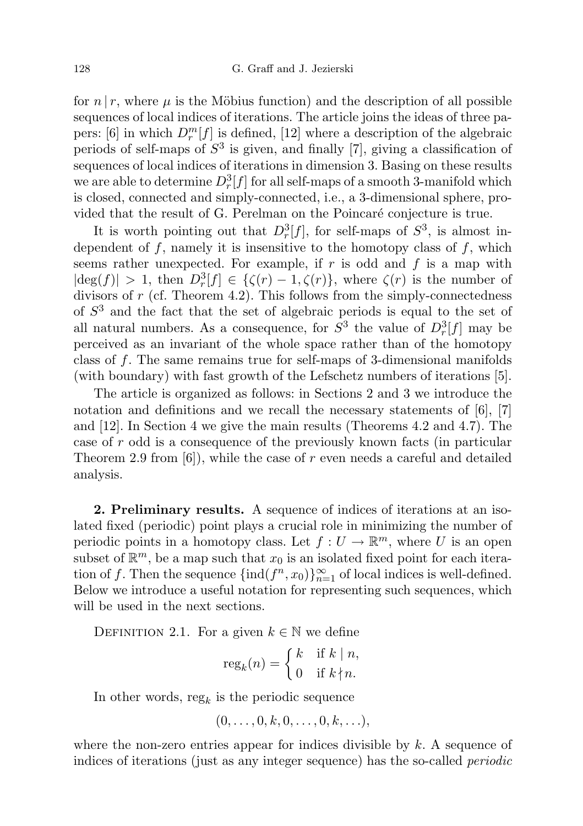for  $n \mid r$ , where  $\mu$  is the Möbius function) and the description of all possible sequences of local indices of iterations. The article joins the ideas of three papers: [6] in which  $D_r^m[f]$  is defined, [12] where a description of the algebraic periods of self-maps of  $S^3$  is given, and finally [7], giving a classification of sequences of local indices of iterations in dimension 3. Basing on these results we are able to determine  $D_r^3[f]$  for all self-maps of a smooth 3-manifold which is closed, connected and simply-connected, i.e., a 3-dimensional sphere, provided that the result of G. Perelman on the Poincaré conjecture is true.

It is worth pointing out that  $D_r^3[f]$ , for self-maps of  $S^3$ , is almost independent of  $f$ , namely it is insensitive to the homotopy class of  $f$ , which seems rather unexpected. For example, if  $r$  is odd and  $f$  is a map with  $|\deg(f)| > 1$ , then  $D_r^3[f] \in {\{\zeta(r) - 1, \zeta(r)\}}$ , where  $\zeta(r)$  is the number of divisors of  $r$  (cf. Theorem 4.2). This follows from the simply-connectedness of  $S<sup>3</sup>$  and the fact that the set of algebraic periods is equal to the set of all natural numbers. As a consequence, for  $S^3$  the value of  $D_r^3[f]$  may be perceived as an invariant of the whole space rather than of the homotopy class of f. The same remains true for self-maps of 3-dimensional manifolds (with boundary) with fast growth of the Lefschetz numbers of iterations [5].

The article is organized as follows: in Sections 2 and 3 we introduce the notation and definitions and we recall the necessary statements of [6], [7] and [12]. In Section 4 we give the main results (Theorems 4.2 and 4.7). The case of r odd is a consequence of the previously known facts (in particular Theorem 2.9 from  $[6]$ , while the case of r even needs a careful and detailed analysis.

2. Preliminary results. A sequence of indices of iterations at an isolated fixed (periodic) point plays a crucial role in minimizing the number of periodic points in a homotopy class. Let  $f: U \to \mathbb{R}^m$ , where U is an open subset of  $\mathbb{R}^m$ , be a map such that  $x_0$  is an isolated fixed point for each iteration of f. Then the sequence  $\{\text{ind}(f^n, x_0)\}_{n=1}^{\infty}$  of local indices is well-defined. Below we introduce a useful notation for representing such sequences, which will be used in the next sections.

DEFINITION 2.1. For a given  $k \in \mathbb{N}$  we define

$$
reg_k(n) = \begin{cases} k & \text{if } k \mid n, \\ 0 & \text{if } k \nmid n. \end{cases}
$$

In other words,  $reg_k$  is the periodic sequence

$$
(0,\ldots,0,k,0,\ldots,0,k,\ldots),
$$

where the non-zero entries appear for indices divisible by  $k$ . A sequence of indices of iterations (just as any integer sequence) has the so-called periodic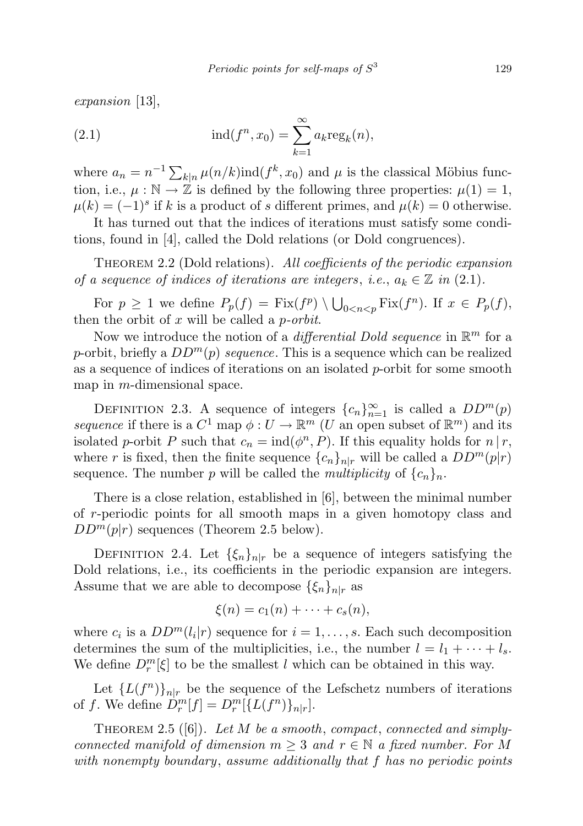expansion [13],

(2.1) 
$$
\text{ind}(f^n, x_0) = \sum_{k=1}^{\infty} a_k \text{reg}_k(n),
$$

where  $a_n = n^{-1} \sum_{k|n} \mu(n/k) \text{ind}(f^k, x_0)$  and  $\mu$  is the classical Möbius function, i.e.,  $\mu : \mathbb{N} \to \mathbb{Z}$  is defined by the following three properties:  $\mu(1) = 1$ ,  $\mu(k) = (-1)^s$  if k is a product of s different primes, and  $\mu(k) = 0$  otherwise.

It has turned out that the indices of iterations must satisfy some conditions, found in [4], called the Dold relations (or Dold congruences).

THEOREM 2.2 (Dold relations). All coefficients of the periodic expansion of a sequence of indices of iterations are integers, i.e.,  $a_k \in \mathbb{Z}$  in (2.1).

For  $p \geq 1$  we define  $P_p(f) = \text{Fix}(f^p) \setminus \bigcup_{0 \leq n < p} \text{Fix}(f^n)$ . If  $x \in P_p(f)$ , then the orbit of  $x$  will be called a *p-orbit*.

Now we introduce the notion of a *differential Dold sequence* in  $\mathbb{R}^m$  for a p-orbit, briefly a  $DD^m(p)$  sequence. This is a sequence which can be realized as a sequence of indices of iterations on an isolated  $p$ -orbit for some smooth map in m-dimensional space.

DEFINITION 2.3. A sequence of integers  ${c_n}_{n=1}^{\infty}$  is called a  $DD^m(p)$ sequence if there is a  $C^1$  map  $\phi: U \to \mathbb{R}^m$  (U an open subset of  $\mathbb{R}^m$ ) and its isolated p-orbit P such that  $c_n = \text{ind}(\phi^n, P)$ . If this equality holds for  $n | r$ , where r is fixed, then the finite sequence  $\{c_n\}_{n|r}$  will be called a  $DD^m(p|r)$ sequence. The number p will be called the *multiplicity* of  ${c_n}_n$ .

There is a close relation, established in [6], between the minimal number of r-periodic points for all smooth maps in a given homotopy class and  $DD^m(p|r)$  sequences (Theorem 2.5 below).

DEFINITION 2.4. Let  $\{\xi_n\}_{n|r}$  be a sequence of integers satisfying the Dold relations, i.e., its coefficients in the periodic expansion are integers. Assume that we are able to decompose  $\{\xi_n\}_{n|r}$  as

$$
\xi(n) = c_1(n) + \cdots + c_s(n),
$$

where  $c_i$  is a  $DD^m(l_i|r)$  sequence for  $i = 1, \ldots, s$ . Each such decomposition determines the sum of the multiplicities, i.e., the number  $l = l_1 + \cdots + l_s$ . We define  $D_r^m[\xi]$  to be the smallest l which can be obtained in this way.

Let  ${L(f^n)}_{n|r}$  be the sequence of the Lefschetz numbers of iterations of f. We define  $D_r^m[f] = D_r^m[\{L(f^n)\}_{{n|r}}].$ 

THEOREM 2.5 ([6]). Let M be a smooth, compact, connected and simplyconnected manifold of dimension  $m \geq 3$  and  $r \in \mathbb{N}$  a fixed number. For M with nonempty boundary, assume additionally that f has no periodic points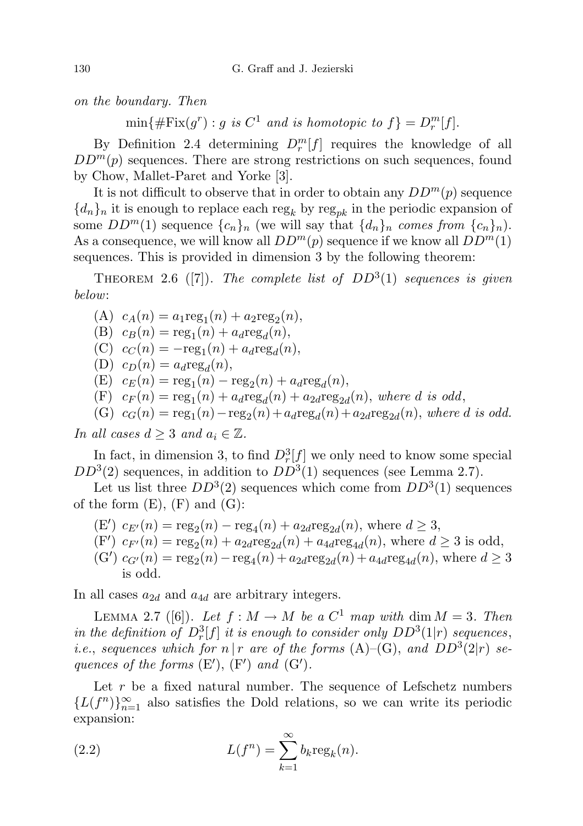on the boundary. Then

 $\min\{\#\text{Fix}(g^r): g \text{ is } C^1 \text{ and is homotopic to } f\} = D_r^m[f].$ 

By Definition 2.4 determining  $D_r^m[f]$  requires the knowledge of all  $DD<sup>m</sup>(p)$  sequences. There are strong restrictions on such sequences, found by Chow, Mallet-Paret and Yorke [3].

It is not difficult to observe that in order to obtain any  $DD^m(p)$  sequence  ${d_n}_n$  it is enough to replace each reg<sub>k</sub> by reg<sub>nk</sub> in the periodic expansion of some  $DD^m(1)$  sequence  $\{c_n\}_n$  (we will say that  $\{d_n\}_n$  comes from  $\{c_n\}_n$ ). As a consequence, we will know all  $DD^m(p)$  sequence if we know all  $DD^m(1)$ sequences. This is provided in dimension 3 by the following theorem:

THEOREM 2.6 ([7]). The complete list of  $DD^3(1)$  sequences is given below:

(A)  $c_A(n) = a_1 \text{reg}_1(n) + a_2 \text{reg}_2(n),$ (B)  $c_B(n) = \text{reg}_1(n) + a_d \text{reg}_d(n),$ (C)  $c_C(n) = -\text{reg}_1(n) + a_d \text{reg}_d(n),$ (D)  $c_D(n) = a_d \text{reg}_d(n),$ (E)  $c_E(n) = \text{reg}_1(n) - \text{reg}_2(n) + a_d \text{reg}_d(n),$ (F)  $c_F(n) = \text{reg}_1(n) + a_d \text{reg}_d(n) + a_{2d} \text{reg}_{2d}(n)$ , where d is odd, (G)  $c_G(n) = \text{reg}_1(n) - \text{reg}_2(n) + a_d \text{reg}_d(n) + a_{2d} \text{reg}_{2d}(n)$ , where d is odd.

In all cases  $d \geq 3$  and  $a_i \in \mathbb{Z}$ .

In fact, in dimension 3, to find  $D_r^3[f]$  we only need to know some special  $DD^{3}(2)$  sequences, in addition to  $DD^{3}(1)$  sequences (see Lemma 2.7).

Let us list three  $DD^3(2)$  sequences which come from  $DD^3(1)$  sequences of the form  $(E)$ ,  $(F)$  and  $(G)$ :

- (E')  $c_{E'}(n) = \text{reg}_2(n) \text{reg}_4(n) + a_{2d}\text{reg}_{2d}(n)$ , where  $d \geq 3$ ,
- $(F')$   $c_{F'}(n) = \text{reg}_2(n) + a_{2d}\text{reg}_{2d}(n) + a_{4d}\text{reg}_{4d}(n)$ , where  $d \geq 3$  is odd,
- $(G')$   $c_{G'}(n) = \text{reg}_2(n) \text{reg}_4(n) + a_{2d}\text{reg}_{2d}(n) + a_{4d}\text{reg}_{4d}(n)$ , where  $d \geq 3$ is odd.

In all cases  $a_{2d}$  and  $a_{4d}$  are arbitrary integers.

LEMMA 2.7 ([6]). Let  $f : M \to M$  be a  $C^1$  map with dim  $M = 3$ . Then in the definition of  $D_r^3[f]$  it is enough to consider only  $DD^3(1|r)$  sequences, *i.e.*, sequences which for  $n | r$  are of the forms  $(A)$ – $(G)$ , and  $DD^3(2|r)$  sequences of the forms  $(E'), (F')$  and  $(G').$ 

Let  $r$  be a fixed natural number. The sequence of Lefschetz numbers  ${L(f<sup>n</sup>)}<sub>n=1</sub><sup>∞</sup>$  also satisfies the Dold relations, so we can write its periodic expansion:

(2.2) 
$$
L(f^n) = \sum_{k=1}^{\infty} b_k \operatorname{reg}_k(n).
$$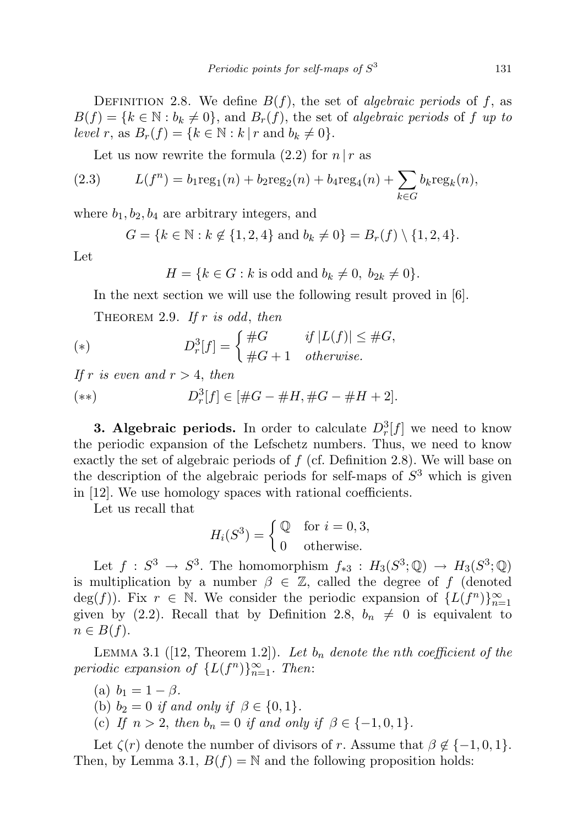DEFINITION 2.8. We define  $B(f)$ , the set of *algebraic periods* of f, as  $B(f) = \{k \in \mathbb{N} : b_k \neq 0\}$ , and  $B_r(f)$ , the set of algebraic periods of f up to level r, as  $B_r(f) = \{k \in \mathbb{N} : k | r \text{ and } b_k \neq 0\}.$ 

Let us now rewrite the formula  $(2.2)$  for  $n | r$  as

(2.3) 
$$
L(f^{n}) = b_{1} \text{reg}_{1}(n) + b_{2} \text{reg}_{2}(n) + b_{4} \text{reg}_{4}(n) + \sum_{k \in G} b_{k} \text{reg}_{k}(n),
$$

where  $b_1, b_2, b_4$  are arbitrary integers, and

$$
G = \{k \in \mathbb{N} : k \notin \{1, 2, 4\} \text{ and } b_k \neq 0\} = B_r(f) \setminus \{1, 2, 4\}.
$$

Let

$$
H = \{k \in G : k \text{ is odd and } b_k \neq 0, b_{2k} \neq 0\}.
$$

In the next section we will use the following result proved in [6].

THEOREM 2.9. If  $r$  is odd, then

(\*) 
$$
D_r^3[f] = \begin{cases} \#G & \text{if } |L(f)| \leq \#G, \\ \#G+1 & otherwise. \end{cases}
$$

If r is even and  $r > 4$ , then

(\*\*) 
$$
D_r^3[f] \in [\#G - \#H, \#G - \#H + 2].
$$

**3. Algebraic periods.** In order to calculate  $D_r^3[f]$  we need to know the periodic expansion of the Lefschetz numbers. Thus, we need to know exactly the set of algebraic periods of  $f$  (cf. Definition 2.8). We will base on the description of the algebraic periods for self-maps of  $S<sup>3</sup>$  which is given in [12]. We use homology spaces with rational coefficients.

Let us recall that

$$
H_i(S^3) = \begin{cases} \mathbb{Q} & \text{for } i = 0, 3, \\ 0 & \text{otherwise.} \end{cases}
$$

Let  $f: S^3 \to S^3$ . The homomorphism  $f_{*3}: H_3(S^3; \mathbb{Q}) \to H_3(S^3; \mathbb{Q})$ is multiplication by a number  $\beta \in \mathbb{Z}$ , called the degree of f (denoted deg(f)). Fix  $r \in \mathbb{N}$ . We consider the periodic expansion of  $\{L(f^n)\}_{n=1}^{\infty}$ given by (2.2). Recall that by Definition 2.8,  $b_n \neq 0$  is equivalent to  $n \in B(f)$ .

LEMMA 3.1 ([12, Theorem 1.2]). Let  $b_n$  denote the nth coefficient of the periodic expansion of  $\{L(f^n)\}_{n=1}^{\infty}$ . Then:

- (a)  $b_1 = 1 \beta$ .
- (b)  $b_2 = 0$  if and only if  $\beta \in \{0, 1\}.$
- (c) If  $n > 2$ , then  $b_n = 0$  if and only if  $\beta \in \{-1, 0, 1\}$ .

Let  $\zeta(r)$  denote the number of divisors of r. Assume that  $\beta \notin \{-1,0,1\}$ . Then, by Lemma 3.1,  $B(f) = N$  and the following proposition holds: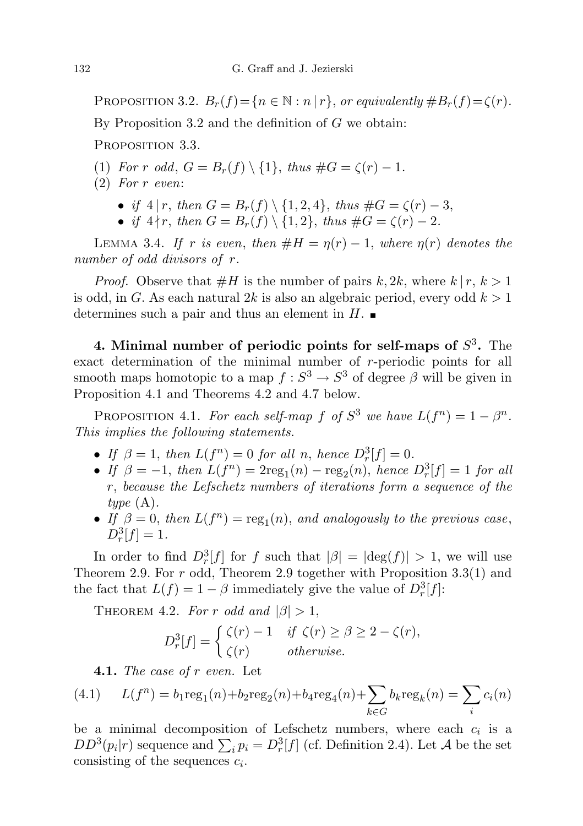PROPOSITION 3.2.  $B_r(f) = \{n \in \mathbb{N} : n | r\}$ , or equivalently  $\#B_r(f) = \zeta(r)$ .

By Proposition 3.2 and the definition of G we obtain:

PROPOSITION 3.3.

- (1) For r odd,  $G = B_r(f) \setminus \{1\}$ , thus  $\#G = \zeta(r) 1$ .
- (2) For r even:
	- if  $4 | r$ , then  $G = B_r(f) \setminus \{1, 2, 4\}$ , thus  $\# G = \zeta(r) 3$ ,
	- if  $4 \nmid r$ , then  $G = B_r(f) \setminus \{1, 2\}$ , thus  $\#G = \zeta(r) 2$ .

LEMMA 3.4. If r is even, then  $#H = \eta(r) - 1$ , where  $\eta(r)$  denotes the number of odd divisors of r.

*Proof.* Observe that  $#H$  is the number of pairs k, 2k, where  $k \mid r, k > 1$ is odd, in G. As each natural 2k is also an algebraic period, every odd  $k > 1$ determines such a pair and thus an element in  $H$ .

4. Minimal number of periodic points for self-maps of  $S<sup>3</sup>$ . The exact determination of the minimal number of r-periodic points for all smooth maps homotopic to a map  $f: S^3 \to S^3$  of degree  $\beta$  will be given in Proposition 4.1 and Theorems 4.2 and 4.7 below.

PROPOSITION 4.1. For each self-map f of  $S^3$  we have  $L(f^n) = 1 - \beta^n$ . This implies the following statements.

- If  $\beta = 1$ , then  $L(f^n) = 0$  for all n, hence  $D_r^3[f] = 0$ .
- If  $\beta = -1$ , then  $L(f^n) = 2\text{reg}_1(n) \text{reg}_2(n)$ , hence  $D_r^3[f] = 1$  for all r, because the Lefschetz numbers of iterations form a sequence of the type  $(A)$ .
- If  $\beta = 0$ , then  $L(f^n) = \text{reg}_1(n)$ , and analogously to the previous case,  $D_r^3[f] = 1.$

In order to find  $D_r^3[f]$  for f such that  $|\beta| = |\text{deg}(f)| > 1$ , we will use Theorem 2.9. For  $r$  odd, Theorem 2.9 together with Proposition 3.3(1) and the fact that  $L(f) = 1 - \beta$  immediately give the value of  $D_r^3[f]$ :

THEOREM 4.2. For r odd and  $|\beta| > 1$ ,

$$
D_r^3[f] = \begin{cases} \zeta(r) - 1 & \text{if } \zeta(r) \ge \beta \ge 2 - \zeta(r), \\ \zeta(r) & \text{otherwise.} \end{cases}
$$

**4.1.** The case of  $r$  even. Let

(4.1) 
$$
L(f^{n}) = b_{1} \text{reg}_{1}(n) + b_{2} \text{reg}_{2}(n) + b_{4} \text{reg}_{4}(n) + \sum_{k \in G} b_{k} \text{reg}_{k}(n) = \sum_{i} c_{i}(n)
$$

be a minimal decomposition of Lefschetz numbers, where each  $c_i$  is a  $DD^3(p_i|r)$  sequence and  $\sum_i p_i = D_r^3[f]$  (cf. Definition 2.4). Let A be the set consisting of the sequences  $c_i$ .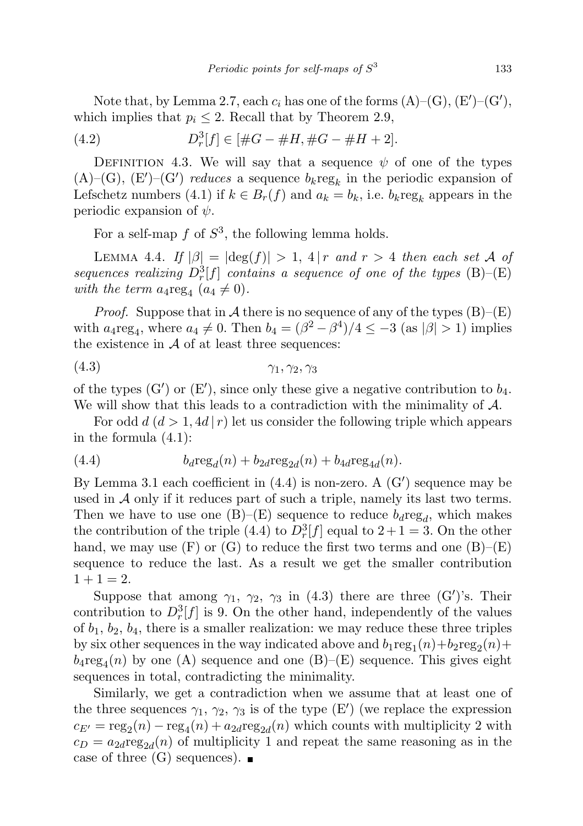Note that, by Lemma 2.7, each  $c_i$  has one of the forms  $(A)$ – $(G)$ ,  $(E')$ – $(G')$ , which implies that  $p_i \leq 2$ . Recall that by Theorem 2.9,

(4.2) 
$$
D_r^3[f] \in [\#G - \#H, \#G - \#H + 2].
$$

DEFINITION 4.3. We will say that a sequence  $\psi$  of one of the types  $(A)$ – $(G)$ ,  $(E')$ – $(G')$  reduces a sequence  $b_k$ reg<sub>k</sub> in the periodic expansion of Lefschetz numbers (4.1) if  $k \in B_r(f)$  and  $a_k = b_k$ , i.e.  $b_k \text{reg}_k$  appears in the periodic expansion of  $\psi$ .

For a self-map  $f$  of  $S^3$ , the following lemma holds.

LEMMA 4.4. If  $|\beta| = |\deg(f)| > 1$ , 4 | r and r > 4 then each set A of sequences realizing  $D_r^3[f]$  contains a sequence of one of the types (B)–(E) with the term  $a_4 \text{reg}_4$   $(a_4 \neq 0)$ .

*Proof.* Suppose that in A there is no sequence of any of the types  $(B)$ – $(E)$ with  $a_4$ reg<sub>4</sub>, where  $a_4 \neq 0$ . Then  $b_4 = (\beta^2 - \beta^4)/4 \leq -3$  (as  $|\beta| > 1$ ) implies the existence in  $A$  of at least three sequences:

(4.3) γ1, γ2, γ<sup>3</sup>

of the types (G') or (E'), since only these give a negative contribution to  $b_4$ . We will show that this leads to a contradiction with the minimality of  $A$ .

For odd  $d (d > 1, 4d | r)$  let us consider the following triple which appears in the formula (4.1):

(4.4) 
$$
b_d \text{reg}_d(n) + b_{2d} \text{reg}_{2d}(n) + b_{4d} \text{reg}_{4d}(n).
$$

By Lemma 3.1 each coefficient in  $(4.4)$  is non-zero. A  $(G')$  sequence may be used in  $A$  only if it reduces part of such a triple, namely its last two terms. Then we have to use one  $(B)$ – $(E)$  sequence to reduce  $b_d$ reg<sub>d</sub>, which makes the contribution of the triple (4.4) to  $D_r^3[f]$  equal to  $2+1=3$ . On the other hand, we may use  $(F)$  or  $(G)$  to reduce the first two terms and one  $(B)$ – $(E)$ sequence to reduce the last. As a result we get the smaller contribution  $1 + 1 = 2.$ 

Suppose that among  $\gamma_1$ ,  $\gamma_2$ ,  $\gamma_3$  in (4.3) there are three (G')'s. Their contribution to  $D_r^3[f]$  is 9. On the other hand, independently of the values of  $b_1$ ,  $b_2$ ,  $b_4$ , there is a smaller realization: we may reduce these three triples by six other sequences in the way indicated above and  $b_1 \text{reg}_1(n) + b_2 \text{reg}_2(n) +$  $b_4 \text{reg}_4(n)$  by one (A) sequence and one (B)–(E) sequence. This gives eight sequences in total, contradicting the minimality.

Similarly, we get a contradiction when we assume that at least one of the three sequences  $\gamma_1$ ,  $\gamma_2$ ,  $\gamma_3$  is of the type (E') (we replace the expression  $c_{E'} = \text{reg}_2(n) - \text{reg}_4(n) + a_{2d}\text{reg}_{2d}(n)$  which counts with multiplicity 2 with  $c_D = a_{2d} \text{reg}_{2d}(n)$  of multiplicity 1 and repeat the same reasoning as in the case of three  $(G)$  sequences).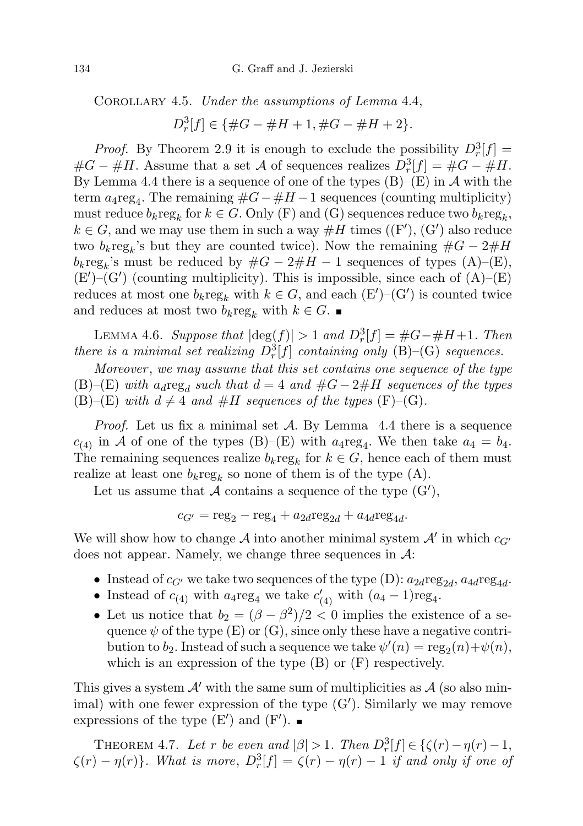COROLLARY 4.5. Under the assumptions of Lemma 4.4,

$$
D_r^3[f] \in \{ \#G - \#H + 1, \#G - \#H + 2 \}.
$$

*Proof.* By Theorem 2.9 it is enough to exclude the possibility  $D_r^3[f] =$  $\#G - \#H$ . Assume that a set A of sequences realizes  $D_r^3[f] = \#G - \#H$ . By Lemma 4.4 there is a sequence of one of the types  $(B)$ – $(E)$  in A with the term  $a_4$ reg<sub>4</sub>. The remaining  $#G - #H - 1$  sequences (counting multiplicity) must reduce  $b_k \text{reg}_k$  for  $k \in G$ . Only (F) and (G) sequences reduce two  $b_k \text{reg}_k$ ,  $k \in G$ , and we may use them in such a way  $#H$  times  $((F'), (G')$  also reduce two  $b_k \text{reg}_k$ 's but they are counted twice). Now the remaining  $\#G - 2\#H$  $b_k \text{reg}_k$ 's must be reduced by  $\#G - 2\#H - 1$  sequences of types  $(A)$ – $(E)$ ,  $(E')$ – $(G')$  (counting multiplicity). This is impossible, since each of  $(A)$ – $(E)$ reduces at most one  $b_k \text{reg}_k$  with  $k \in G$ , and each  $(\text{E}')-(\text{G}')$  is counted twice and reduces at most two  $b_k \text{reg}_k$  with  $k \in G$ .

LEMMA 4.6. Suppose that  $|\text{deg}(f)| > 1$  and  $D_r^3[f] = #G - #H + 1$ . Then there is a minimal set realizing  $D_r^3[f]$  containing only (B)–(G) sequences.

Moreover , we may assume that this set contains one sequence of the type (B)–(E) with  $a_d \text{reg}_d$  such that  $d = 4$  and  $\#G - 2\#H$  sequences of the types (B)–(E) with  $d \neq 4$  and  $#H$  sequences of the types (F)–(G).

*Proof.* Let us fix a minimal set  $\mathcal{A}$ . By Lemma 4.4 there is a sequence  $c_{(4)}$  in A of one of the types (B)–(E) with  $a_4$ reg<sub>4</sub>. We then take  $a_4 = b_4$ . The remaining sequences realize  $b_k \text{reg}_k$  for  $k \in G$ , hence each of them must realize at least one  $b_k \text{reg}_k$  so none of them is of the type  $(A)$ .

Let us assume that A contains a sequence of the type  $(G')$ ,

$$
c_{G'} = \text{reg}_2 - \text{reg}_4 + a_{2d} \text{reg}_{2d} + a_{4d} \text{reg}_{4d}.
$$

We will show how to change  $\mathcal A$  into another minimal system  $\mathcal A'$  in which  $c_{G'}$ does not appear. Namely, we change three sequences in  $\mathcal{A}$ :

- Instead of  $c_{G'}$  we take two sequences of the type (D):  $a_{2d} \text{reg}_{2d}$ ,  $a_{4d} \text{reg}_{4d}$ .
- Instead of  $c_{(4)}$  with  $a_4$ reg<sub>4</sub> we take  $c'_{(4)}$  with  $(a_4 1)$ reg<sub>4</sub>.
- Let us notice that  $b_2 = (\beta \beta^2)/2 < 0$  implies the existence of a sequence  $\psi$  of the type (E) or (G), since only these have a negative contribution to  $b_2$ . Instead of such a sequence we take  $\psi'(n) = \text{reg}_2(n) + \psi(n)$ , which is an expression of the type  $(B)$  or  $(F)$  respectively.

This gives a system  $\mathcal{A}'$  with the same sum of multiplicities as  $\mathcal{A}$  (so also minimal) with one fewer expression of the type  $(G')$ . Similarly we may remove expressions of the type  $(E')$  and  $(F')$ .

THEOREM 4.7. Let r be even and  $|\beta| > 1$ . Then  $D_r^3[f] \in \{ \zeta(r) - \eta(r) - 1,$  $\zeta(r) - \eta(r)$ . What is more,  $D_r^3[f] = \zeta(r) - \eta(r) - 1$  if and only if one of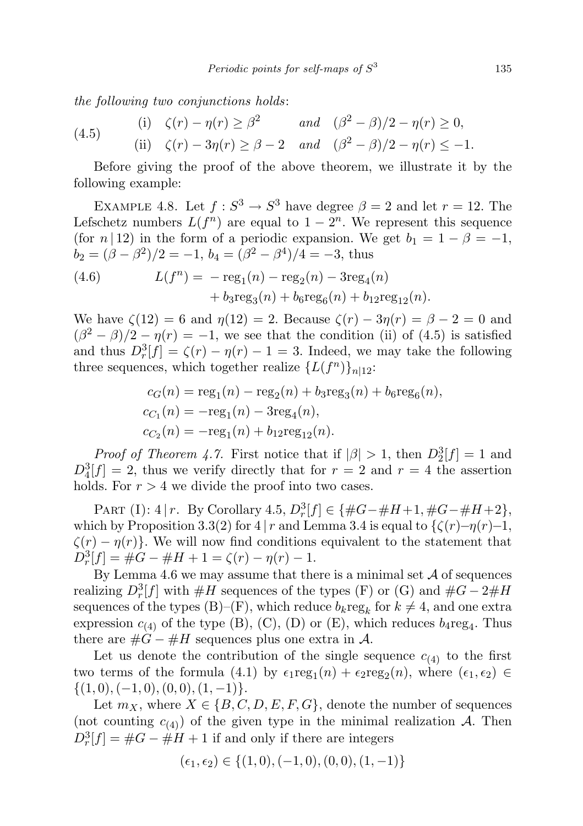the following two conjunctions holds:

(4.5) (i) 
$$
\zeta(r) - \eta(r) \ge \beta^2
$$
 and  $(\beta^2 - \beta)/2 - \eta(r) \ge 0$ ,  
\n(ii)  $\zeta(r) - 3\eta(r) \ge \beta - 2$  and  $(\beta^2 - \beta)/2 - \eta(r) \le -1$ .

Before giving the proof of the above theorem, we illustrate it by the following example:

EXAMPLE 4.8. Let  $f: S^3 \to S^3$  have degree  $\beta = 2$  and let  $r = 12$ . The Lefschetz numbers  $L(f^n)$  are equal to  $1-2^n$ . We represent this sequence (for  $n | 12$ ) in the form of a periodic expansion. We get  $b_1 = 1 - \beta = -1$ ,  $b_2 = (\beta - \beta^2)/2 = -1, b_4 = (\beta^2 - \beta^4)/4 = -3$ , thus

(4.6) 
$$
L(f^{n}) = -\text{reg}_{1}(n) - \text{reg}_{2}(n) - 3\text{reg}_{4}(n) + b_{3}\text{reg}_{3}(n) + b_{6}\text{reg}_{6}(n) + b_{12}\text{reg}_{12}(n).
$$

We have  $\zeta(12) = 6$  and  $\eta(12) = 2$ . Because  $\zeta(r) - 3\eta(r) = \beta - 2 = 0$  and  $(\beta^2 - \beta)/2 - \eta(r) = -1$ , we see that the condition (ii) of (4.5) is satisfied and thus  $D_r^3[f] = \zeta(r) - \eta(r) - 1 = 3$ . Indeed, we may take the following three sequences, which together realize  $\{L(f^n)\}_{n|12}$ :

$$
c_G(n) = \text{reg}_1(n) - \text{reg}_2(n) + b_3 \text{reg}_3(n) + b_6 \text{reg}_6(n),
$$
  
\n
$$
c_{C_1}(n) = -\text{reg}_1(n) - 3\text{reg}_4(n),
$$
  
\n
$$
c_{C_2}(n) = -\text{reg}_1(n) + b_{12} \text{reg}_{12}(n).
$$

*Proof of Theorem 4.7.* First notice that if  $|\beta| > 1$ , then  $D_2^3[f] = 1$  and  $D_4^3[f] = 2$ , thus we verify directly that for  $r = 2$  and  $r = 4$  the assertion holds. For  $r > 4$  we divide the proof into two cases.

PART (I):  $4 | r$ . By Corollary  $4.5, D_r^3[f] \in \{ \#G - \#H + 1, \#G - \#H + 2 \},\$ which by Proposition 3.3(2) for 4 | r and Lemma 3.4 is equal to  $\{\zeta(r)-\eta(r)-1,\right.$  $\zeta(r) - \eta(r)$ . We will now find conditions equivalent to the statement that  $D_r^3[f] = #G - #H + 1 = \zeta(r) - \eta(r) - 1.$ 

By Lemma 4.6 we may assume that there is a minimal set  $A$  of sequences realizing  $D_r^3[f]$  with  $\#H$  sequences of the types (F) or (G) and  $\#G-2\#H$ sequences of the types (B)–(F), which reduce  $b_k \text{reg}_k$  for  $k \neq 4$ , and one extra expression  $c_{(4)}$  of the type (B), (C), (D) or (E), which reduces  $b_4$ reg<sub>4</sub>. Thus there are  $\#G - \#H$  sequences plus one extra in A.

Let us denote the contribution of the single sequence  $c_{(4)}$  to the first two terms of the formula (4.1) by  $\epsilon_1 \text{reg}_1(n) + \epsilon_2 \text{reg}_2(n)$ , where  $(\epsilon_1, \epsilon_2) \in$  $\{(1,0),(-1,0),(0,0),(1,-1)\}.$ 

Let  $m_X$ , where  $X \in \{B, C, D, E, F, G\}$ , denote the number of sequences (not counting  $c_{(4)}$ ) of the given type in the minimal realization A. Then  $D_r^3[f] = #G - #H + 1$  if and only if there are integers

$$
(\epsilon_1, \epsilon_2) \in \{(1,0), (-1,0), (0,0), (1,-1)\}
$$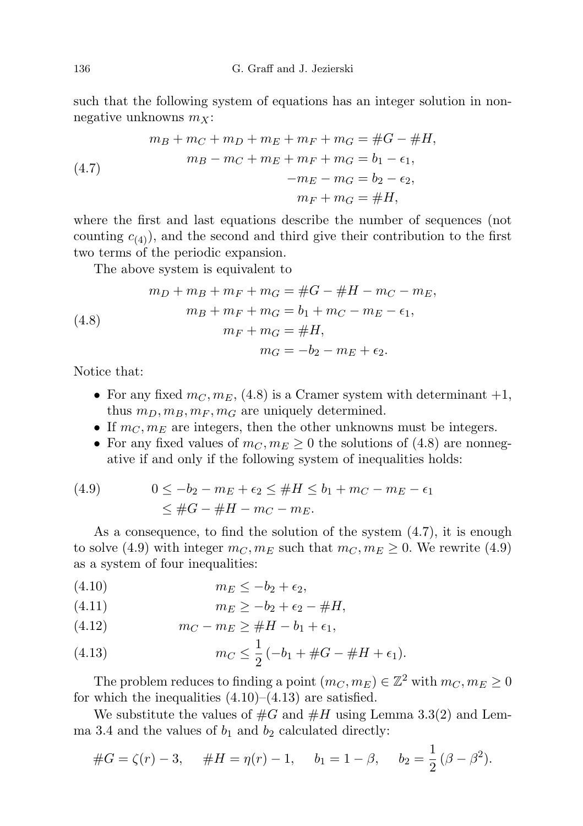such that the following system of equations has an integer solution in nonnegative unknowns  $m_X$ :

(4.7) 
$$
m_B + m_C + m_D + m_E + m_F + m_G = \#G - \#H,
$$

$$
m_B - m_C + m_E + m_F + m_G = b_1 - \epsilon_1,
$$

$$
-m_E - m_G = b_2 - \epsilon_2,
$$

$$
m_F + m_G = \#H,
$$

where the first and last equations describe the number of sequences (not counting  $c_{(4)}$ , and the second and third give their contribution to the first two terms of the periodic expansion.

The above system is equivalent to

(4.8) 
$$
m_D + m_B + m_F + m_G = \#G - \#H - m_C - m_E,
$$

$$
m_B + m_F + m_G = b_1 + m_C - m_E - \epsilon_1,
$$

$$
m_F + m_G = \#H,
$$

$$
m_G = -b_2 - m_E + \epsilon_2.
$$

Notice that:

- For any fixed  $m_C, m_E, (4.8)$  is a Cramer system with determinant  $+1$ , thus  $m_D, m_B, m_F, m_G$  are uniquely determined.
- If  $m<sub>C</sub>, m<sub>E</sub>$  are integers, then the other unknowns must be integers.
- For any fixed values of  $m_C, m_E \geq 0$  the solutions of (4.8) are nonnegative if and only if the following system of inequalities holds:

(4.9) 
$$
0 \le -b_2 - m_E + \epsilon_2 \le \#H \le b_1 + m_C - m_E - \epsilon_1
$$

$$
\le \#G - \#H - m_C - m_E.
$$

As a consequence, to find the solution of the system (4.7), it is enough to solve (4.9) with integer  $m_C, m_E$  such that  $m_C, m_E \ge 0$ . We rewrite (4.9) as a system of four inequalities:

$$
(4.10) \t\t m_E \le -b_2 + \epsilon_2,
$$

$$
(4.11) \t\t\t\t m_E \ge -b_2 + \epsilon_2 - \#H,
$$

(4.12) 
$$
m_C - m_E \ge \#H - b_1 + \epsilon_1,
$$

(4.13) 
$$
m_C \leq \frac{1}{2} \left( -b_1 + \#G - \#H + \epsilon_1 \right).
$$

The problem reduces to finding a point  $(m_C, m_E) \in \mathbb{Z}^2$  with  $m_C, m_E \geq 0$ for which the inequalities  $(4.10)$ – $(4.13)$  are satisfied.

We substitute the values of  $#G$  and  $#H$  using Lemma 3.3(2) and Lemma 3.4 and the values of  $b_1$  and  $b_2$  calculated directly:

$$
#G = \zeta(r) - 3, \quad #H = \eta(r) - 1, \quad b_1 = 1 - \beta, \quad b_2 = \frac{1}{2}(\beta - \beta^2).
$$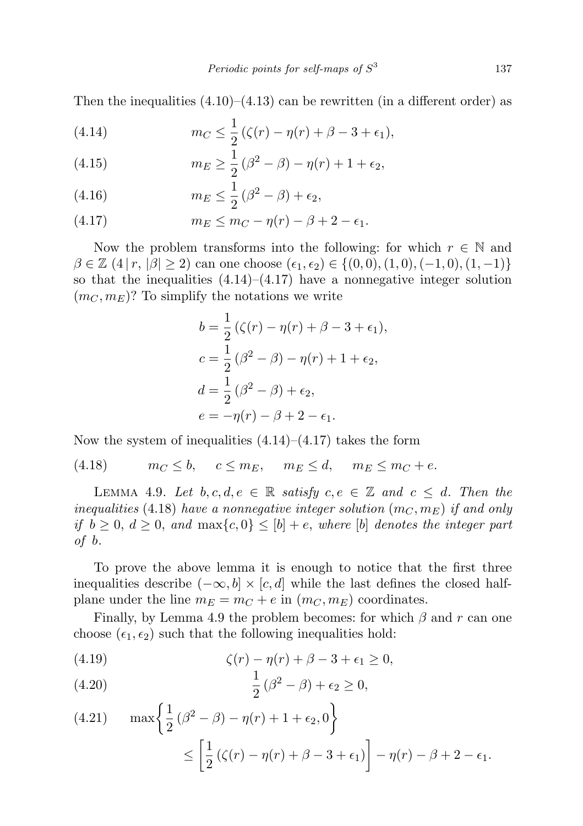Then the inequalities  $(4.10)$ – $(4.13)$  can be rewritten (in a different order) as

(4.14) 
$$
m_C \leq \frac{1}{2} \left( \zeta(r) - \eta(r) + \beta - 3 + \epsilon_1 \right),
$$

(4.15) 
$$
m_E \geq \frac{1}{2} (\beta^2 - \beta) - \eta(r) + 1 + \epsilon_2,
$$

(4.16) 
$$
m_E \leq \frac{1}{2} (\beta^2 - \beta) + \epsilon_2,
$$

(4.17) 
$$
m_E \le m_C - \eta(r) - \beta + 2 - \epsilon_1.
$$

Now the problem transforms into the following: for which  $r \in \mathbb{N}$  and  $\beta \in \mathbb{Z}$  (4 | r,  $|\beta| > 2$ ) can one choose  $(\epsilon_1, \epsilon_2) \in \{(0, 0), (1, 0), (-1, 0), (1, -1)\}\$ so that the inequalities  $(4.14)$ – $(4.17)$  have a nonnegative integer solution  $(m_C, m_E)$ ? To simplify the notations we write

$$
b = \frac{1}{2} (\zeta(r) - \eta(r) + \beta - 3 + \epsilon_1),
$$
  
\n
$$
c = \frac{1}{2} (\beta^2 - \beta) - \eta(r) + 1 + \epsilon_2,
$$
  
\n
$$
d = \frac{1}{2} (\beta^2 - \beta) + \epsilon_2,
$$
  
\n
$$
e = -\eta(r) - \beta + 2 - \epsilon_1.
$$

Now the system of inequalities  $(4.14)$ – $(4.17)$  takes the form

(4.18)  $m_C \leq b$ ,  $c \leq m_E$ ,  $m_E \leq d$ ,  $m_E \leq m_C + e$ .

LEMMA 4.9. Let  $b, c, d, e \in \mathbb{R}$  satisfy  $c, e \in \mathbb{Z}$  and  $c \leq d$ . Then the inequalities (4.18) have a nonnegative integer solution  $(m_C, m_E)$  if and only if  $b \geq 0, d \geq 0,$  and  $\max\{c, 0\} \leq [b] + e$ , where  $[b]$  denotes the integer part of b.

To prove the above lemma it is enough to notice that the first three inequalities describe  $(-\infty, b] \times [c, d]$  while the last defines the closed halfplane under the line  $m_E = m_C + e$  in  $(m_C, m_E)$  coordinates.

Finally, by Lemma 4.9 the problem becomes: for which  $\beta$  and r can one choose  $(\epsilon_1, \epsilon_2)$  such that the following inequalities hold:

(4.19) 
$$
\zeta(r) - \eta(r) + \beta - 3 + \epsilon_1 \ge 0,
$$

(4.20) 
$$
\frac{1}{2} (\beta^2 - \beta) + \epsilon_2 \ge 0,
$$

(4.21) 
$$
\max \left\{ \frac{1}{2} (\beta^2 - \beta) - \eta(r) + 1 + \epsilon_2, 0 \right\}
$$

$$
\leq \left[ \frac{1}{2} (\zeta(r) - \eta(r) + \beta - 3 + \epsilon_1) \right] - \eta(r) - \beta + 2 - \epsilon_1.
$$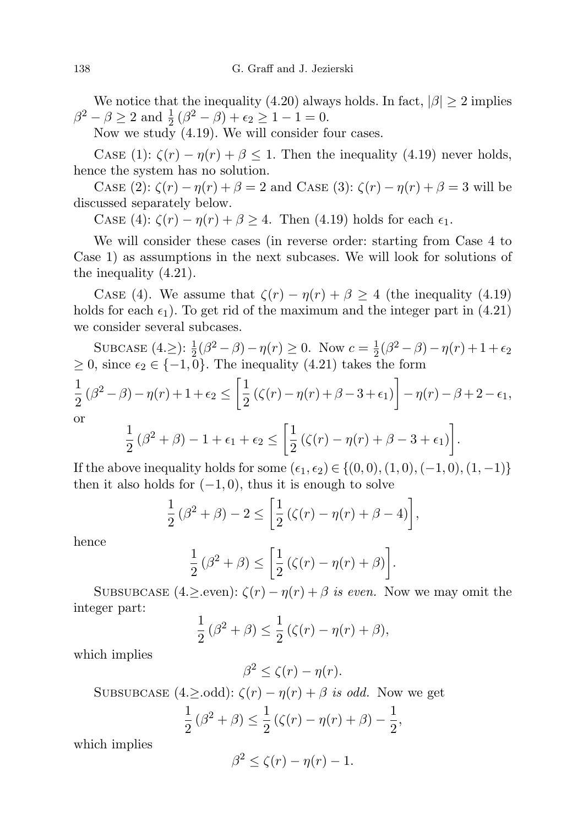We notice that the inequality (4.20) always holds. In fact,  $|\beta| \ge 2$  implies  $\beta^2 - \beta \ge 2$  and  $\frac{1}{2}(\beta^2 - \beta) + \epsilon_2 \ge 1 - 1 = 0$ .

Now we study (4.19). We will consider four cases.

CASE (1):  $\zeta(r) - \eta(r) + \beta \leq 1$ . Then the inequality (4.19) never holds, hence the system has no solution.

Case (2):  $\zeta(r) - \eta(r) + \beta = 2$  and Case (3):  $\zeta(r) - \eta(r) + \beta = 3$  will be discussed separately below.

CASE (4):  $\zeta(r) - \eta(r) + \beta \geq 4$ . Then (4.19) holds for each  $\epsilon_1$ .

We will consider these cases (in reverse order: starting from Case 4 to Case 1) as assumptions in the next subcases. We will look for solutions of the inequality (4.21).

CASE (4). We assume that  $\zeta(r) - \eta(r) + \beta \geq 4$  (the inequality (4.19) holds for each  $\epsilon_1$ ). To get rid of the maximum and the integer part in (4.21) we consider several subcases.

SUBCASE  $(4 \geq)$ :  $\frac{1}{2}(\beta^2 - \beta) - \eta(r) \geq 0$ . Now  $c = \frac{1}{2}$  $\frac{1}{2}(\beta^2 - \beta) - \eta(r) + 1 + \epsilon_2$  $≥ 0$ , since  $\epsilon_2 \in \{-1,0\}$ . The inequality (4.21) takes the form 1  $\frac{1}{2}(\beta^2-\beta)-\eta(r)+1+\epsilon_2\leq \biggl[\frac{1}{2}% {\displaystyle\int} d\mathbf{r}\biggr]$  $\frac{1}{2}(\zeta(r)-\eta(r)+\beta-3+\epsilon_1)\bigg]-\eta(r)-\beta+2-\epsilon_1,$ or

$$
\frac{1}{2}(\beta^2+\beta)-1+\epsilon_1+\epsilon_2\leq \left[\frac{1}{2}(\zeta(r)-\eta(r)+\beta-3+\epsilon_1)\right].
$$

If the above inequality holds for some  $(\epsilon_1, \epsilon_2) \in \{(0, 0), (1, 0), (-1, 0), (1, -1)\}\$ then it also holds for  $(-1, 0)$ , thus it is enough to solve

$$
\frac{1}{2}(\beta^2+\beta)-2\leq \left[\frac{1}{2}(\zeta(r)-\eta(r)+\beta-4)\right],
$$

hence

$$
\frac{1}{2}(\beta^2 + \beta) \le \left[\frac{1}{2}(\zeta(r) - \eta(r) + \beta)\right].
$$

SUBSUBCASE  $(4 \geq$ even):  $\zeta(r) - \eta(r) + \beta$  is even. Now we may omit the integer part:

$$
\frac{1}{2}(\beta^2+\beta) \le \frac{1}{2}(\zeta(r)-\eta(r)+\beta),
$$

which implies

$$
\beta^2 \le \zeta(r) - \eta(r).
$$

SUBSUBCASE  $(4.\geq .odd)$ :  $\zeta(r) - \eta(r) + \beta$  is odd. Now we get

$$
\frac{1}{2}(\beta^2 + \beta) \le \frac{1}{2}(\zeta(r) - \eta(r) + \beta) - \frac{1}{2},
$$

which implies

$$
\beta^2 \le \zeta(r) - \eta(r) - 1.
$$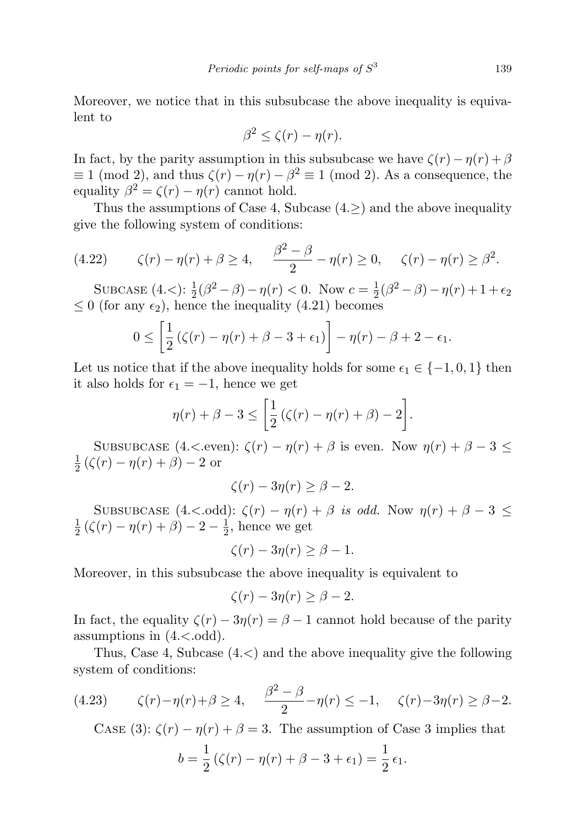139

Moreover, we notice that in this subsubcase the above inequality is equivalent to

$$
\beta^2 \le \zeta(r) - \eta(r).
$$

In fact, by the parity assumption in this subsubcase we have  $\zeta(r) - \eta(r) + \beta$  $\equiv 1 \pmod{2}$ , and thus  $\zeta(r) - \eta(r) - \beta^2 \equiv 1 \pmod{2}$ . As a consequence, the equality  $\beta^2 = \zeta(r) - \eta(r)$  cannot hold.

Thus the assumptions of Case 4, Subcase  $(4.\ge)$  and the above inequality give the following system of conditions:

(4.22) 
$$
\zeta(r) - \eta(r) + \beta \ge 4, \quad \frac{\beta^2 - \beta}{2} - \eta(r) \ge 0, \quad \zeta(r) - \eta(r) \ge \beta^2.
$$

SUBCASE  $(4, <)$ :  $\frac{1}{2}(\beta^2 - \beta) - \eta(r) < 0$ . Now  $c = \frac{1}{2}$  $\frac{1}{2}(\beta^2 - \beta) - \eta(r) + 1 + \epsilon_2$  $\leq 0$  (for any  $\epsilon_2$ ), hence the inequality (4.21) becomes

$$
0 \leq \left[\frac{1}{2}\left(\zeta(r) - \eta(r) + \beta - 3 + \epsilon_1\right)\right] - \eta(r) - \beta + 2 - \epsilon_1.
$$

Let us notice that if the above inequality holds for some  $\epsilon_1 \in \{-1, 0, 1\}$  then it also holds for  $\epsilon_1 = -1$ , hence we get

$$
\eta(r) + \beta - 3 \leq \left[\frac{1}{2}\left(\zeta(r) - \eta(r) + \beta\right) - 2\right].
$$

SUBSUBCASE  $(4,<sub>even</sub>): \zeta(r) - \eta(r) + \beta$  is even. Now  $\eta(r) + \beta - 3 \le$ 1  $\frac{1}{2} (\zeta(r) - \eta(r) + \beta) - 2$  or

$$
\zeta(r) - 3\eta(r) \ge \beta - 2.
$$

SUBSUBCASE  $(4,< .\text{odd})$ :  $\zeta(r) - \eta(r) + \beta$  is odd. Now  $\eta(r) + \beta - 3 \le$ 1  $\frac{1}{2}(\zeta(r)-\eta(r)+\beta)-2-\frac{1}{2}$  $\frac{1}{2}$ , hence we get

$$
\zeta(r) - 3\eta(r) \ge \beta - 1.
$$

Moreover, in this subsubcase the above inequality is equivalent to

$$
\zeta(r) - 3\eta(r) \ge \beta - 2.
$$

In fact, the equality  $\zeta(r) - 3\eta(r) = \beta - 1$  cannot hold because of the parity assumptions in  $(4,<sub>odd</sub>)$ .

Thus, Case 4, Subcase (4.<) and the above inequality give the following system of conditions:

(4.23) 
$$
\zeta(r) - \eta(r) + \beta \ge 4, \quad \frac{\beta^2 - \beta}{2} - \eta(r) \le -1, \quad \zeta(r) - 3\eta(r) \ge \beta - 2.
$$

CASE (3):  $\zeta(r) - \eta(r) + \beta = 3$ . The assumption of Case 3 implies that

$$
b = \frac{1}{2} (\zeta(r) - \eta(r) + \beta - 3 + \epsilon_1) = \frac{1}{2} \epsilon_1.
$$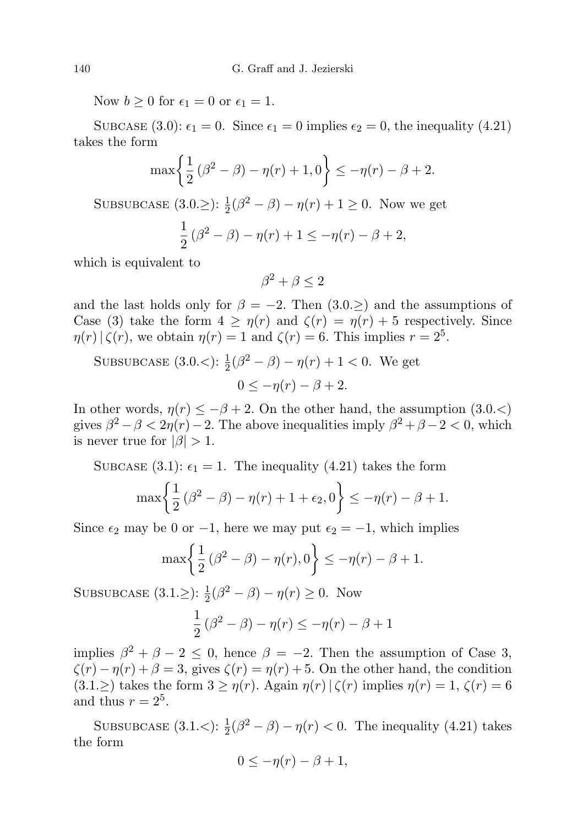Now  $b \geq 0$  for  $\epsilon_1 = 0$  or  $\epsilon_1 = 1$ .

SUBCASE (3.0):  $\epsilon_1 = 0$ . Since  $\epsilon_1 = 0$  implies  $\epsilon_2 = 0$ , the inequality (4.21) takes the form

$$
\max\left\{\frac{1}{2}(\beta^2 - \beta) - \eta(r) + 1, 0\right\} \le -\eta(r) - \beta + 2.
$$

SUBSUBCASE  $(3.0. \ge)$ :  $\frac{1}{2}(\beta^2 - \beta) - \eta(r) + 1 \ge 0$ . Now we get

$$
\frac{1}{2}(\beta^2 - \beta) - \eta(r) + 1 \le -\eta(r) - \beta + 2,
$$

which is equivalent to

 $\beta^2 + \beta \leq 2$ 

and the last holds only for  $\beta = -2$ . Then  $(3.0. \ge)$  and the assumptions of Case (3) take the form  $4 \geq \eta(r)$  and  $\zeta(r) = \eta(r) + 5$  respectively. Since  $\eta(r) | \zeta(r)$ , we obtain  $\eta(r) = 1$  and  $\zeta(r) = 6$ . This implies  $r = 2^5$ .

SUBSUBCASE (3.0.\frac{1}{2}(\beta^2 - \beta) - \eta(r) + 1 < 0. We get  

$$
0 \le -\eta(r) - \beta + 2
$$
.

In other words,  $\eta(r) \leq -\beta + 2$ . On the other hand, the assumption (3.0.<) gives  $\beta^2 - \beta < 2\eta(r) - 2$ . The above inequalities imply  $\beta^2 + \beta - 2 < 0$ , which is never true for  $|\beta| > 1$ .

SUBCASE (3.1):  $\epsilon_1 = 1$ . The inequality (4.21) takes the form

$$
\max\left\{\frac{1}{2}(\beta^2 - \beta) - \eta(r) + 1 + \epsilon_2, 0\right\} \le -\eta(r) - \beta + 1.
$$

Since  $\epsilon_2$  may be 0 or -1, here we may put  $\epsilon_2 = -1$ , which implies

$$
\max\left\{\frac{1}{2}(\beta^2 - \beta) - \eta(r), 0\right\} \le -\eta(r) - \beta + 1.
$$

SUBSUBCASE  $(3.1. \ge)$ :  $\frac{1}{2}(\beta^2 - \beta) - \eta(r) \ge 0$ . Now

$$
\frac{1}{2}(\beta^2 - \beta) - \eta(r) \le -\eta(r) - \beta + 1
$$

implies  $\beta^2 + \beta - 2 \leq 0$ , hence  $\beta = -2$ . Then the assumption of Case 3,  $\zeta(r) - \eta(r) + \beta = 3$ , gives  $\zeta(r) = \eta(r) + 5$ . On the other hand, the condition  $(3.1. \geq)$  takes the form  $3 \geq \eta(r)$ . Again  $\eta(r) | \zeta(r)$  implies  $\eta(r) = 1, \zeta(r) = 6$ and thus  $r = 2^5$ .

SUBSUBCASE  $(3.1. <): \frac{1}{2}(\beta^2 - \beta) - \eta(r) < 0$ . The inequality  $(4.21)$  takes the form

$$
0 \le -\eta(r) - \beta + 1,
$$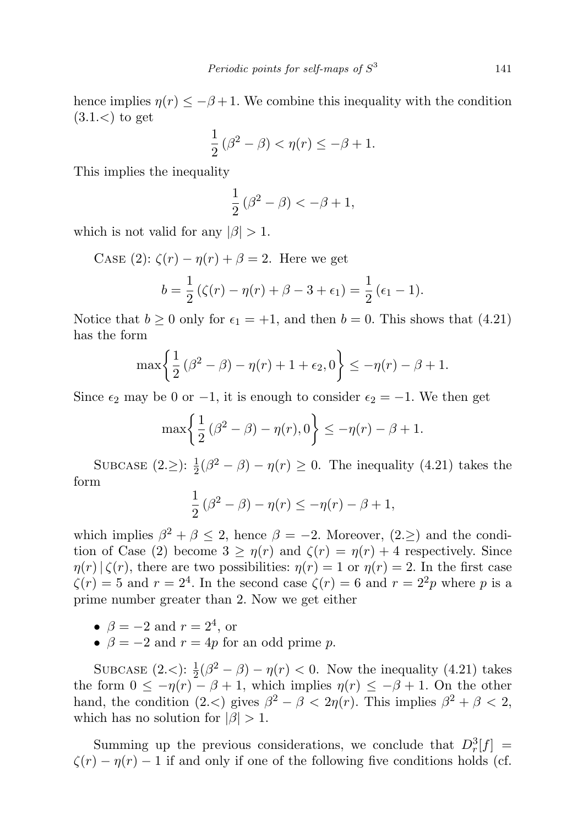hence implies  $\eta(r) \leq -\beta + 1$ . We combine this inequality with the condition  $(3.1<)$  to get

$$
\frac{1}{2}(\beta^2 - \beta) < \eta(r) \le -\beta + 1.
$$

This implies the inequality

$$
\frac{1}{2}(\beta^2 - \beta) < -\beta + 1,
$$

which is not valid for any  $|\beta| > 1$ .

CASE (2):  $\zeta(r) - \eta(r) + \beta = 2$ . Here we get  $b=\frac{1}{2}$  $\frac{1}{2} (\zeta(r) - \eta(r) + \beta - 3 + \epsilon_1) = \frac{1}{2} (\epsilon_1 - 1).$ 

Notice that  $b \ge 0$  only for  $\epsilon_1 = +1$ , and then  $b = 0$ . This shows that (4.21) has the form

$$
\max\left\{\frac{1}{2}(\beta^2 - \beta) - \eta(r) + 1 + \epsilon_2, 0\right\} \le -\eta(r) - \beta + 1.
$$

Since  $\epsilon_2$  may be 0 or −1, it is enough to consider  $\epsilon_2 = -1$ . We then get

$$
\max\left\{\frac{1}{2}\left(\beta^2-\beta\right)-\eta(r),0\right\}\leq -\eta(r)-\beta+1.
$$

SUBCASE  $(2. \ge)$ :  $\frac{1}{2}(\beta^2 - \beta) - \eta(r) \ge 0$ . The inequality  $(4.21)$  takes the form

$$
\frac{1}{2}(\beta^2 - \beta) - \eta(r) \le -\eta(r) - \beta + 1,
$$

which implies  $\beta^2 + \beta \leq 2$ , hence  $\beta = -2$ . Moreover,  $(2 \geq)$  and the condition of Case (2) become  $3 \geq \eta(r)$  and  $\zeta(r) = \eta(r) + 4$  respectively. Since  $\eta(r)|\zeta(r)$ , there are two possibilities:  $\eta(r) = 1$  or  $\eta(r) = 2$ . In the first case  $\zeta(r) = 5$  and  $r = 2<sup>4</sup>$ . In the second case  $\zeta(r) = 6$  and  $r = 2<sup>2</sup>p$  where p is a prime number greater than 2. Now we get either

- $\beta = -2$  and  $r = 2^4$ , or
- $\beta = -2$  and  $r = 4p$  for an odd prime p.

SUBCASE  $(2<): \frac{1}{2}(\beta^2 - \beta) - \eta(r) < 0$ . Now the inequality (4.21) takes the form  $0 \leq -\eta(r) - \beta + 1$ , which implies  $\eta(r) \leq -\beta + 1$ . On the other hand, the condition  $(2<)$  gives  $\beta^2 - \beta < 2\eta(r)$ . This implies  $\beta^2 + \beta < 2$ , which has no solution for  $|\beta| > 1$ .

Summing up the previous considerations, we conclude that  $D_r^3[f] =$  $\zeta(r) - \eta(r) - 1$  if and only if one of the following five conditions holds (cf.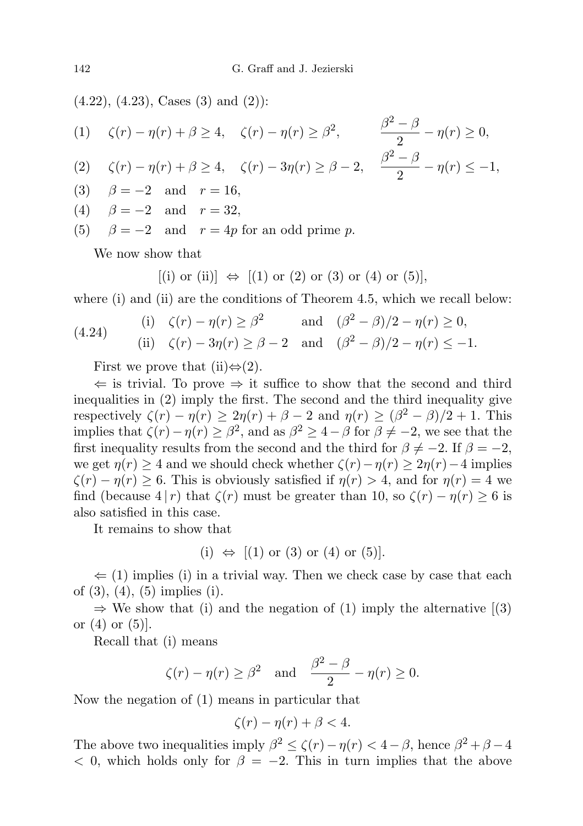$(4.22), (4.23), \text{ Cases } (3) \text{ and } (2)$ :

(1) 
$$
\zeta(r) - \eta(r) + \beta \ge 4
$$
,  $\zeta(r) - \eta(r) \ge \beta^2$ ,  $\frac{\beta^2 - \beta}{2} - \eta(r) \ge 0$ ,  
\n(2)  $\zeta(r) - \eta(r) + \beta \ge 4$ ,  $\zeta(r) - 3\eta(r) \ge \beta - 2$ ,  $\frac{\beta^2 - \beta}{2} - \eta(r) \le -1$ ,

- (3)  $\beta = -2$  and  $r = 16$ ,
- (4)  $\beta = -2$  and  $r = 32$ ,
- (5)  $\beta = -2$  and  $r = 4p$  for an odd prime p.

We now show that

 $[(i)$  or  $(ii)] \Leftrightarrow [(1)$  or  $(2)$  or  $(3)$  or  $(4)$  or  $(5)$ ,

where (i) and (ii) are the conditions of Theorem 4.5, which we recall below:

(4.24) (i) 
$$
\zeta(r) - \eta(r) \ge \beta^2
$$
 and  $(\beta^2 - \beta)/2 - \eta(r) \ge 0$ ,  
\n(ii)  $\zeta(r) - 3\eta(r) \ge \beta - 2$  and  $(\beta^2 - \beta)/2 - \eta(r) \le -1$ .

First we prove that (ii) $\Leftrightarrow$  (2).

 $\Leftarrow$  is trivial. To prove ⇒ it suffice to show that the second and third inequalities in (2) imply the first. The second and the third inequality give respectively  $\zeta(r) - \eta(r) \geq 2\eta(r) + \beta - 2$  and  $\eta(r) \geq (\beta^2 - \beta)/2 + 1$ . This implies that  $\zeta(r) - \eta(r) \geq \beta^2$ , and as  $\beta^2 \geq 4 - \beta$  for  $\beta \neq -2$ , we see that the first inequality results from the second and the third for  $\beta \neq -2$ . If  $\beta = -2$ , we get  $\eta(r) \geq 4$  and we should check whether  $\zeta(r)-\eta(r) \geq 2\eta(r)-4$  implies  $\zeta(r) - \eta(r) > 6$ . This is obviously satisfied if  $\eta(r) > 4$ , and for  $\eta(r) = 4$  we find (because  $4 | r$ ) that  $\zeta(r)$  must be greater than 10, so  $\zeta(r) - \eta(r) \ge 6$  is also satisfied in this case.

It remains to show that

(i)  $\Leftrightarrow$  [(1) or (3) or (4) or (5)].

 $\Leftarrow$  (1) implies (i) in a trivial way. Then we check case by case that each of (3), (4), (5) implies (i).

 $\Rightarrow$  We show that (i) and the negation of (1) imply the alternative [(3) or  $(4)$  or  $(5)$ .

Recall that (i) means

$$
\zeta(r) - \eta(r) \ge \beta^2
$$
 and  $\frac{\beta^2 - \beta}{2} - \eta(r) \ge 0$ .

Now the negation of (1) means in particular that

$$
\zeta(r) - \eta(r) + \beta < 4.
$$

The above two inequalities imply  $\beta^2 \leq \zeta(r) - \eta(r) < 4 - \beta$ , hence  $\beta^2 + \beta - 4$  $< 0$ , which holds only for  $\beta = -2$ . This in turn implies that the above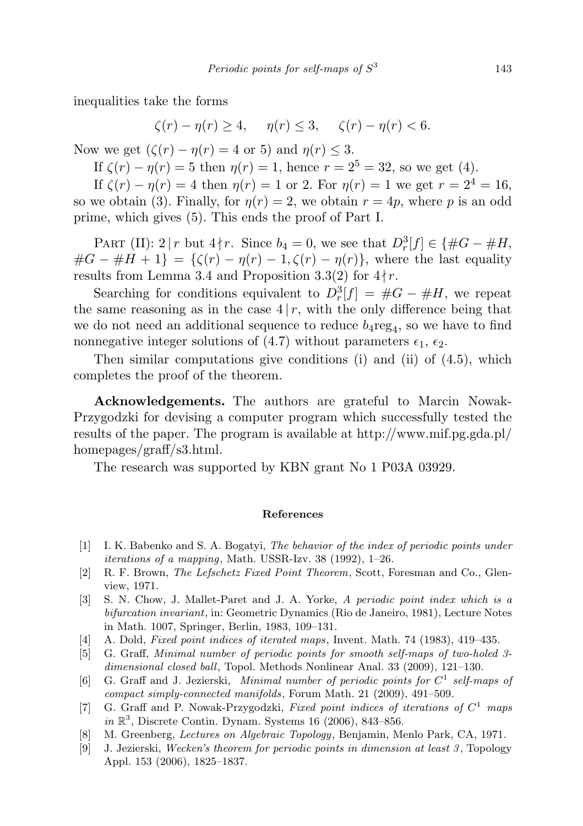inequalities take the forms

$$
\zeta(r) - \eta(r) \ge 4, \quad \eta(r) \le 3, \quad \zeta(r) - \eta(r) < 6.
$$

Now we get  $(\zeta(r) - \eta(r) = 4 \text{ or } 5)$  and  $\eta(r) \leq 3$ .

If  $\zeta(r) - \eta(r) = 5$  then  $\eta(r) = 1$ , hence  $r = 2^5 = 32$ , so we get (4).

If  $\zeta(r) - \eta(r) = 4$  then  $\eta(r) = 1$  or 2. For  $\eta(r) = 1$  we get  $r = 2^4 = 16$ , so we obtain (3). Finally, for  $\eta(r) = 2$ , we obtain  $r = 4p$ , where p is an odd prime, which gives (5). This ends the proof of Part I.

PART (II): 2 | r but  $4 \nmid r$ . Since  $b_4 = 0$ , we see that  $D_r^3[f] \in \{ \#G - \#H,$  $\#G - \#H + 1$  = { $\zeta(r) - \eta(r) - 1$ ,  $\zeta(r) - \eta(r)$ }, where the last equality results from Lemma 3.4 and Proposition 3.3(2) for  $4 \nmid r$ .

Searching for conditions equivalent to  $D_r^3[f] = #G - #H$ , we repeat the same reasoning as in the case  $4 | r$ , with the only difference being that we do not need an additional sequence to reduce  $b_4$ reg<sub>4</sub>, so we have to find nonnegative integer solutions of (4.7) without parameters  $\epsilon_1$ ,  $\epsilon_2$ .

Then similar computations give conditions (i) and (ii) of (4.5), which completes the proof of the theorem.

Acknowledgements. The authors are grateful to Marcin Nowak-Przygodzki for devising a computer program which successfully tested the results of the paper. The program is available at http://www.mif.pg.gda.pl/ homepages/graff/s3.html.

The research was supported by KBN grant No 1 P03A 03929.

## References

- [1] I. K. Babenko and S. A. Bogatyi, The behavior of the index of periodic points under iterations of a mapping, Math. USSR-Izv. 38 (1992), 1–26.
- [2] R. F. Brown, The Lefschetz Fixed Point Theorem, Scott, Foresman and Co., Glenview, 1971.
- [3] S. N. Chow, J. Mallet-Paret and J. A. Yorke, A periodic point index which is a bifurcation invariant, in: Geometric Dynamics (Rio de Janeiro, 1981), Lecture Notes in Math. 1007, Springer, Berlin, 1983, 109–131.
- [4] A. Dold, Fixed point indices of iterated maps, Invent. Math. 74 (1983), 419–435.
- [5] G. Graff, Minimal number of periodic points for smooth self-maps of two-holed 3 dimensional closed ball, Topol. Methods Nonlinear Anal. 33 (2009), 121–130.
- [6] G. Graff and J. Jezierski, Minimal number of periodic points for  $C^1$  self-maps of compact simply-connected manifolds, Forum Math. 21 (2009), 491–509.
- [7] G. Graff and P. Nowak-Przygodzki, Fixed point indices of iterations of  $C^1$  maps in  $\mathbb{R}^3$ , Discrete Contin. Dynam. Systems 16 (2006), 843-856.
- [8] M. Greenberg, Lectures on Algebraic Topology, Benjamin, Menlo Park, CA, 1971.
- [9] J. Jezierski, Wecken's theorem for periodic points in dimension at least  $3$ , Topology Appl. 153 (2006), 1825–1837.